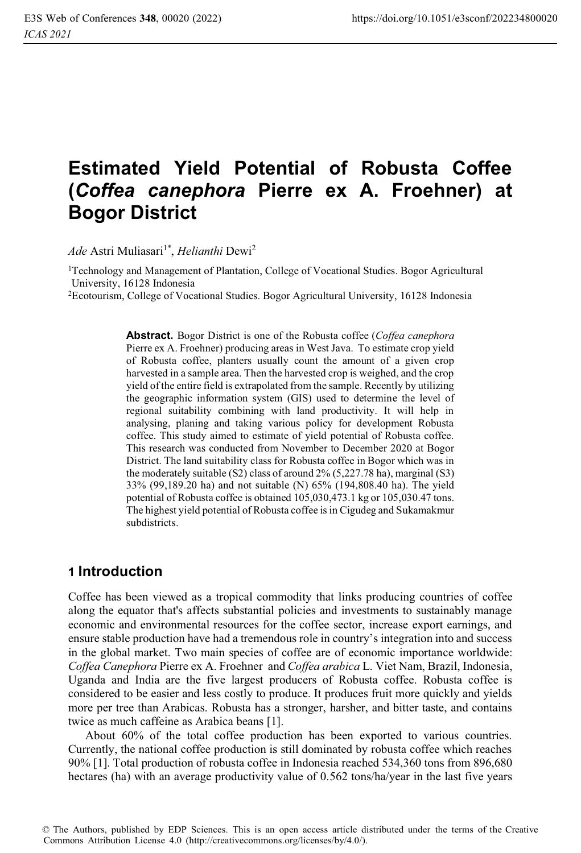# **Estimated Yield Potential of Robusta Coffee (***Coffea canephora* **Pierre ex A. Froehner) at Bogor District**

*Ade Astri Muliasari<sup>1\*</sup>, <i>Helianthi* Dewi<sup>2</sup>

1Technology and Management of Plantation, College of Vocational Studies. Bogor Agricultural University, 16128 Indonesia

2Ecotourism, College of Vocational Studies. Bogor Agricultural University, 16128 Indonesia

**Abstract.** Bogor District is one of the Robusta coffee (*Coffea canephora* Pierre ex A. Froehner) producing areas in West Java. To estimate crop yield of Robusta coffee, planters usually count the amount of a given crop harvested in a sample area. Then the harvested crop is weighed, and the crop yield of the entire field is extrapolated from the sample. Recently by utilizing the geographic information system (GIS) used to determine the level of regional suitability combining with land productivity. It will help in analysing, planing and taking various policy for development Robusta coffee. This study aimed to estimate of yield potential of Robusta coffee. This research was conducted from November to December 2020 at Bogor District. The land suitability class for Robusta coffee in Bogor which was in the moderately suitable (S2) class of around  $2\%$  (5,227.78 ha), marginal (S3) 33% (99,189.20 ha) and not suitable (N) 65% (194,808.40 ha). The yield potential of Robusta coffee is obtained 105,030,473.1 kg or 105,030.47 tons. The highest yield potential of Robusta coffee is in Cigudeg and Sukamakmur subdistricts.

### **1 Introduction**

Coffee has been viewed as a tropical commodity that links producing countries of coffee along the equator that's affects substantial policies and investments to sustainably manage economic and environmental resources for the coffee sector, increase export earnings, and ensure stable production have had a tremendous role in country's integration into and success in the global market. Two main species of coffee are of economic importance worldwide: *Coffea Canephora* Pierre ex A. Froehner and *Coffea arabica* L. Viet Nam, Brazil, Indonesia, Uganda and India are the five largest producers of Robusta coffee. Robusta coffee is considered to be easier and less costly to produce. It produces fruit more quickly and yields more per tree than Arabicas. Robusta has a stronger, harsher, and bitter taste, and contains twice as much caffeine as Arabica beans [1].

About 60% of the total coffee production has been exported to various countries. Currently, the national coffee production is still dominated by robusta coffee which reaches 90% [1]. Total production of robusta coffee in Indonesia reached 534,360 tons from 896,680 hectares (ha) with an average productivity value of 0.562 tons/ha/year in the last five years

© The Authors, published by EDP Sciences. This is an open access article distributed under the terms of the Creative Commons Attribution License 4.0 (http://creativecommons.org/licenses/by/4.0/).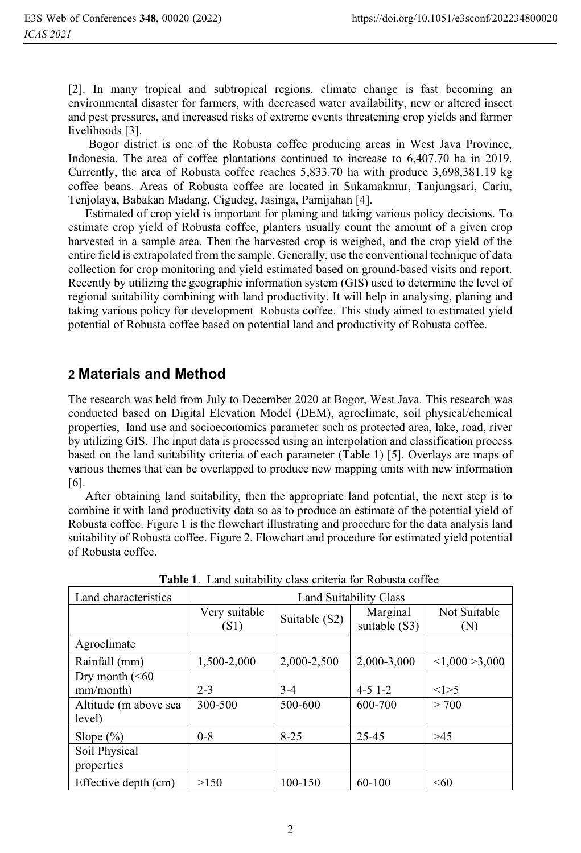[2]. In many tropical and subtropical regions, climate change is fast becoming an environmental disaster for farmers, with decreased water availability, new or altered insect and pest pressures, and increased risks of extreme events threatening crop yields and farmer livelihoods [3].

 Bogor district is one of the Robusta coffee producing areas in West Java Province, Indonesia. The area of coffee plantations continued to increase to 6,407.70 ha in 2019. Currently, the area of Robusta coffee reaches 5,833.70 ha with produce 3,698,381.19 kg coffee beans. Areas of Robusta coffee are located in Sukamakmur, Tanjungsari, Cariu, Tenjolaya, Babakan Madang, Cigudeg, Jasinga, Pamijahan [4].

Estimated of crop yield is important for planing and taking various policy decisions. To estimate crop yield of Robusta coffee, planters usually count the amount of a given crop harvested in a sample area. Then the harvested crop is weighed, and the crop yield of the entire field is extrapolated from the sample. Generally, use the conventional technique of data collection for crop monitoring and yield estimated based on ground-based visits and report. Recently by utilizing the geographic information system (GIS) used to determine the level of regional suitability combining with land productivity. It will help in analysing, planing and taking various policy for development Robusta coffee. This study aimed to estimated yield potential of Robusta coffee based on potential land and productivity of Robusta coffee.

### **2 Materials and Method**

The research was held from July to December 2020 at Bogor, West Java. This research was conducted based on Digital Elevation Model (DEM), agroclimate, soil physical/chemical properties, land use and socioeconomics parameter such as protected area, lake, road, river by utilizing GIS. The input data is processed using an interpolation and classification process based on the land suitability criteria of each parameter (Table 1) [5]. Overlays are maps of various themes that can be overlapped to produce new mapping units with new information [6].

After obtaining land suitability, then the appropriate land potential, the next step is to combine it with land productivity data so as to produce an estimate of the potential yield of Robusta coffee. Figure 1 is the flowchart illustrating and procedure for the data analysis land suitability of Robusta coffee. Figure 2. Flowchart and procedure for estimated yield potential of Robusta coffee.

| Tuble 1. Eand sundomly chass chilena for recousin correct |                        |               |                           |                     |
|-----------------------------------------------------------|------------------------|---------------|---------------------------|---------------------|
| Land characteristics                                      | Land Suitability Class |               |                           |                     |
|                                                           | Very suitable<br>(S1)  | Suitable (S2) | Marginal<br>suitable (S3) | Not Suitable<br>(N) |
| Agroclimate                                               |                        |               |                           |                     |
| Rainfall (mm)                                             | 1,500-2,000            | 2,000-2,500   | 2,000-3,000               | < 1.000 > 3.000     |
| Dry month $(< 60$                                         |                        |               |                           |                     |
| mm/month)                                                 | $2 - 3$                | $3-4$         | $4 - 5$ 1-2               | <1>5                |
| Altitude (m above sea<br>level)                           | 300-500                | 500-600       | 600-700                   | > 700               |
| Slope $(\% )$                                             | $0 - 8$                | $8 - 25$      | 25-45                     | >45                 |
| Soil Physical<br>properties                               |                        |               |                           |                     |
| Effective depth (cm)                                      | >150                   | 100-150       | 60-100                    | < 60                |

**Table 1**. Land suitability class criteria for Robusta coffee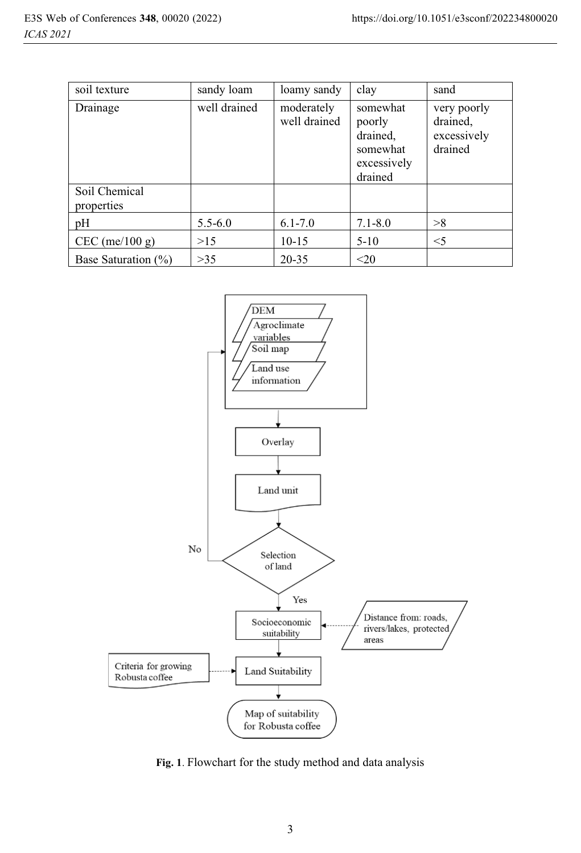| soil texture                | sandy loam   | loamy sandy                | clay                                                                 | sand                                              |
|-----------------------------|--------------|----------------------------|----------------------------------------------------------------------|---------------------------------------------------|
| Drainage                    | well drained | moderately<br>well drained | somewhat<br>poorly<br>drained,<br>somewhat<br>excessively<br>drained | very poorly<br>drained,<br>excessively<br>drained |
| Soil Chemical<br>properties |              |                            |                                                                      |                                                   |
| pH                          | $5.5 - 6.0$  | $6.1 - 7.0$                | $7.1 - 8.0$                                                          | >8                                                |
| $CEC$ (me/100 g)            | >15          | $10 - 15$                  | $5-10$                                                               | $\leq$ 5                                          |
| Base Saturation $(\% )$     | >35          | 20-35                      | <20                                                                  |                                                   |



**Fig. 1**. Flowchart for the study method and data analysis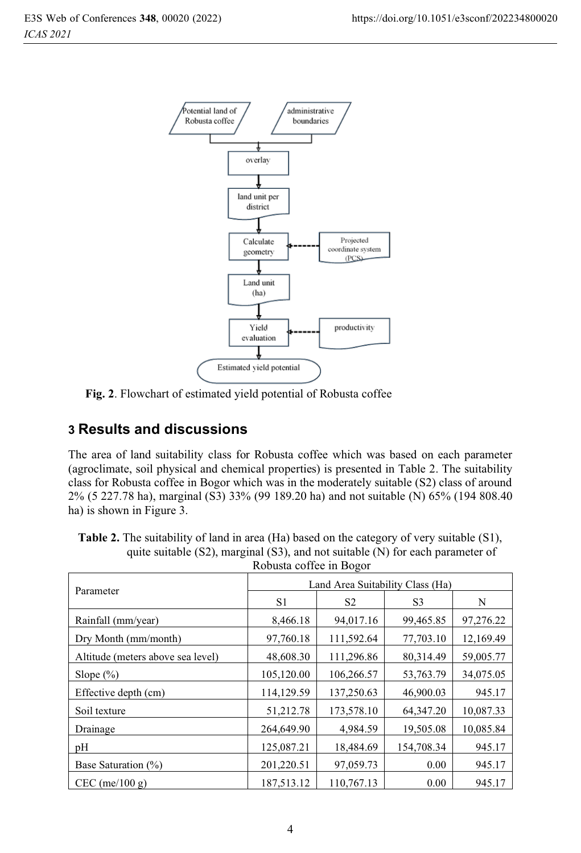

**Fig. 2**. Flowchart of estimated yield potential of Robusta coffee

# **3 Results and discussions**

The area of land suitability class for Robusta coffee which was based on each parameter (agroclimate, soil physical and chemical properties) is presented in Table 2. The suitability class for Robusta coffee in Bogor which was in the moderately suitable (S2) class of around 2% (5 227.78 ha), marginal (S3) 33% (99 189.20 ha) and not suitable (N) 65% (194 808.40 ha) is shown in Figure 3.

| <b>Table 2.</b> The suitability of land in area (Ha) based on the category of very suitable (S1), |
|---------------------------------------------------------------------------------------------------|
| quite suitable $(S2)$ , marginal $(S3)$ , and not suitable $(N)$ for each parameter of            |
| Robusta coffee in Bogor                                                                           |

| Parameter                         | Land Area Suitability Class (Ha) |                |                |           |  |
|-----------------------------------|----------------------------------|----------------|----------------|-----------|--|
|                                   | S1                               | S <sub>2</sub> | S <sub>3</sub> | N         |  |
| Rainfall (mm/year)                | 8,466.18                         | 94,017.16      | 99,465.85      | 97,276.22 |  |
| Dry Month (mm/month)              | 97,760.18                        | 111,592.64     | 77,703.10      | 12,169.49 |  |
| Altitude (meters above sea level) | 48,608.30                        | 111,296.86     | 80.314.49      | 59,005.77 |  |
| Slope $(\%)$                      | 105,120.00                       | 106,266.57     | 53,763.79      | 34,075.05 |  |
| Effective depth (cm)              | 114,129.59                       | 137,250.63     | 46,900.03      | 945.17    |  |
| Soil texture                      | 51,212.78                        | 173,578.10     | 64, 347. 20    | 10,087.33 |  |
| Drainage                          | 264,649.90                       | 4,984.59       | 19,505.08      | 10,085.84 |  |
| pΗ                                | 125,087.21                       | 18,484.69      | 154,708.34     | 945.17    |  |
| Base Saturation (%)               | 201,220.51                       | 97,059.73      | 0.00           | 945.17    |  |
| $CEC$ (me/100 g)                  | 187,513.12                       | 110,767.13     | 0.00           | 945.17    |  |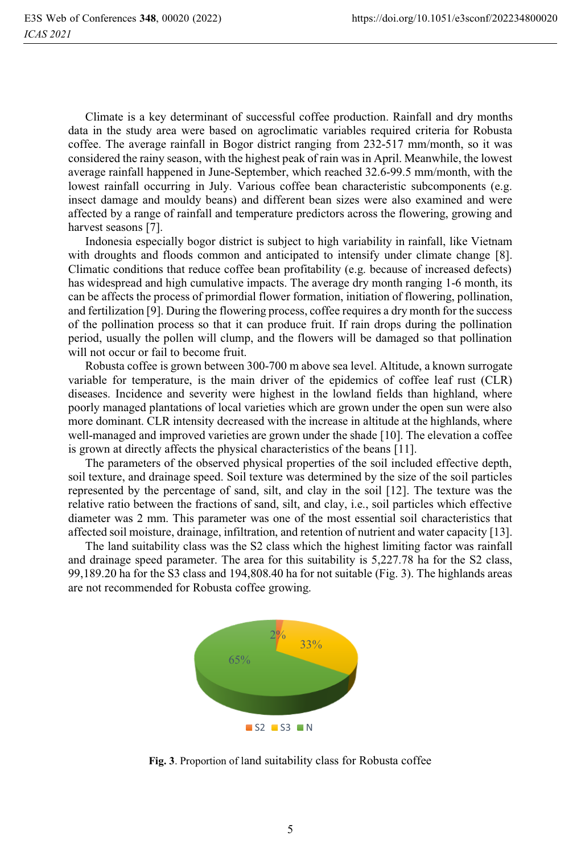Climate is a key determinant of successful coffee production. Rainfall and dry months data in the study area were based on agroclimatic variables required criteria for Robusta coffee. The average rainfall in Bogor district ranging from 232-517 mm/month, so it was considered the rainy season, with the highest peak of rain was in April. Meanwhile, the lowest average rainfall happened in June-September, which reached 32.6-99.5 mm/month, with the lowest rainfall occurring in July. Various coffee bean characteristic subcomponents (e.g. insect damage and mouldy beans) and different bean sizes were also examined and were affected by a range of rainfall and temperature predictors across the flowering, growing and harvest seasons [7].

Indonesia especially bogor district is subject to high variability in rainfall, like Vietnam with droughts and floods common and anticipated to intensify under climate change [8]. Climatic conditions that reduce coffee bean profitability (e.g. because of increased defects) has widespread and high cumulative impacts. The average dry month ranging 1-6 month, its can be affects the process of primordial flower formation, initiation of flowering, pollination, and fertilization [9]. During the flowering process, coffee requires a dry month for the success of the pollination process so that it can produce fruit. If rain drops during the pollination period, usually the pollen will clump, and the flowers will be damaged so that pollination will not occur or fail to become fruit.

Robusta coffee is grown between 300-700 m above sea level. Altitude, a known surrogate variable for temperature, is the main driver of the epidemics of coffee leaf rust (CLR) diseases. Incidence and severity were highest in the lowland fields than highland, where poorly managed plantations of local varieties which are grown under the open sun were also more dominant. CLR intensity decreased with the increase in altitude at the highlands, where well-managed and improved varieties are grown under the shade [10]. The elevation a coffee is grown at directly affects the physical characteristics of the beans [11].

The parameters of the observed physical properties of the soil included effective depth, soil texture, and drainage speed. Soil texture was determined by the size of the soil particles represented by the percentage of sand, silt, and clay in the soil [12]. The texture was the relative ratio between the fractions of sand, silt, and clay, i.e., soil particles which effective diameter was 2 mm. This parameter was one of the most essential soil characteristics that affected soil moisture, drainage, infiltration, and retention of nutrient and water capacity [13].

The land suitability class was the S2 class which the highest limiting factor was rainfall and drainage speed parameter. The area for this suitability is 5,227.78 ha for the S2 class, 99,189.20 ha for the S3 class and 194,808.40 ha for not suitable (Fig. 3). The highlands areas are not recommended for Robusta coffee growing.



**Fig. 3**. Proportion of land suitability class for Robusta coffee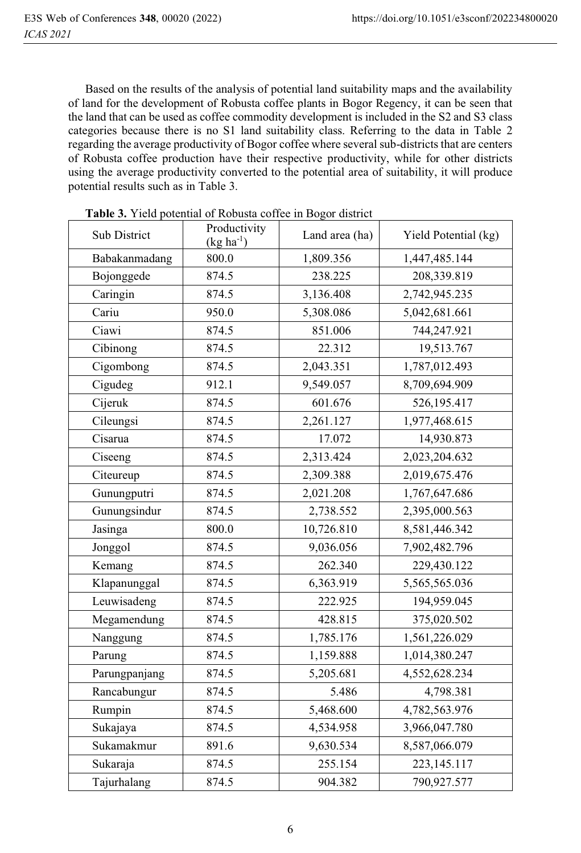Based on the results of the analysis of potential land suitability maps and the availability of land for the development of Robusta coffee plants in Bogor Regency, it can be seen that the land that can be used as coffee commodity development is included in the S2 and S3 class categories because there is no S1 land suitability class. Referring to the data in Table 2 regarding the average productivity of Bogor coffee where several sub-districts that are centers of Robusta coffee production have their respective productivity, while for other districts using the average productivity converted to the potential area of suitability, it will produce potential results such as in Table 3.

| Sub District  | Productivity<br>$(kg ha^{-1})$ | Land area (ha) | Yield Potential (kg) |
|---------------|--------------------------------|----------------|----------------------|
| Babakanmadang | 800.0                          | 1,809.356      | 1,447,485.144        |
| Bojonggede    | 874.5                          | 238.225        | 208,339.819          |
| Caringin      | 874.5                          | 3,136.408      | 2,742,945.235        |
| Cariu         | 950.0                          | 5,308.086      | 5,042,681.661        |
| Ciawi         | 874.5                          | 851.006        | 744,247.921          |
| Cibinong      | 874.5                          | 22.312         | 19,513.767           |
| Cigombong     | 874.5                          | 2,043.351      | 1,787,012.493        |
| Cigudeg       | 912.1                          | 9,549.057      | 8,709,694.909        |
| Cijeruk       | 874.5                          | 601.676        | 526,195.417          |
| Cileungsi     | 874.5                          | 2,261.127      | 1,977,468.615        |
| Cisarua       | 874.5                          | 17.072         | 14,930.873           |
| Ciseeng       | 874.5                          | 2,313.424      | 2,023,204.632        |
| Citeureup     | 874.5                          | 2,309.388      | 2,019,675.476        |
| Gunungputri   | 874.5                          | 2,021.208      | 1,767,647.686        |
| Gunungsindur  | 874.5                          | 2,738.552      | 2,395,000.563        |
| Jasinga       | 800.0                          | 10,726.810     | 8,581,446.342        |
| Jonggol       | 874.5                          | 9,036.056      | 7,902,482.796        |
| Kemang        | 874.5                          | 262.340        | 229,430.122          |
| Klapanunggal  | 874.5                          | 6,363.919      | 5,565,565.036        |
| Leuwisadeng   | 874.5                          | 222.925        | 194,959.045          |
| Megamendung   | 874.5                          | 428.815        | 375,020.502          |
| Nanggung      | 874.5                          | 1,785.176      | 1,561,226.029        |
| Parung        | 874.5                          | 1,159.888      | 1,014,380.247        |
| Parungpanjang | 874.5                          | 5,205.681      | 4,552,628.234        |
| Rancabungur   | 874.5                          | 5.486          | 4,798.381            |
| Rumpin        | 874.5                          | 5,468.600      | 4,782,563.976        |
| Sukajaya      | 874.5                          | 4,534.958      | 3,966,047.780        |
| Sukamakmur    | 891.6                          | 9,630.534      | 8,587,066.079        |
| Sukaraja      | 874.5                          | 255.154        | 223, 145. 117        |
| Tajurhalang   | 874.5                          | 904.382        | 790,927.577          |

**Table 3.** Yield potential of Robusta coffee in Bogor district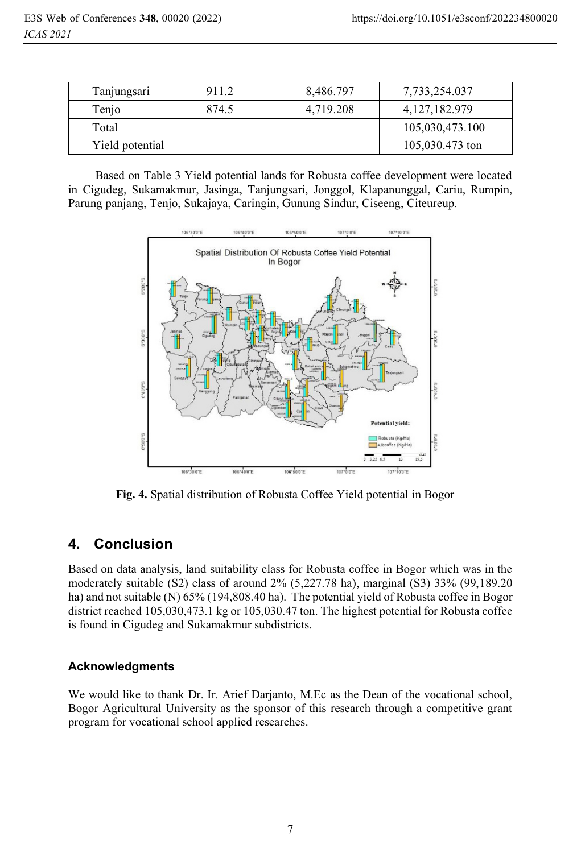| Tanjungsari     | 911.2 | 8,486.797 | 7,733,254.037    |
|-----------------|-------|-----------|------------------|
| Tenjo           | 874.5 | 4,719.208 | 4, 127, 182, 979 |
| Total           |       |           | 105,030,473.100  |
| Yield potential |       |           | 105,030.473 ton  |

 Based on Table 3 Yield potential lands for Robusta coffee development were located in Cigudeg, Sukamakmur, Jasinga, Tanjungsari, Jonggol, Klapanunggal, Cariu, Rumpin, Parung panjang, Tenjo, Sukajaya, Caringin, Gunung Sindur, Ciseeng, Citeureup.



 **Fig. 4.** Spatial distribution of Robusta Coffee Yield potential in Bogor

## **4. Conclusion**

Based on data analysis, land suitability class for Robusta coffee in Bogor which was in the moderately suitable (S2) class of around 2% (5,227.78 ha), marginal (S3) 33% (99,189.20 ha) and not suitable (N) 65% (194,808.40 ha). The potential yield of Robusta coffee in Bogor district reached 105,030,473.1 kg or 105,030.47 ton. The highest potential for Robusta coffee is found in Cigudeg and Sukamakmur subdistricts.

### **Acknowledgments**

We would like to thank Dr. Ir. Arief Darjanto, M.Ec as the Dean of the vocational school, Bogor Agricultural University as the sponsor of this research through a competitive grant program for vocational school applied researches.